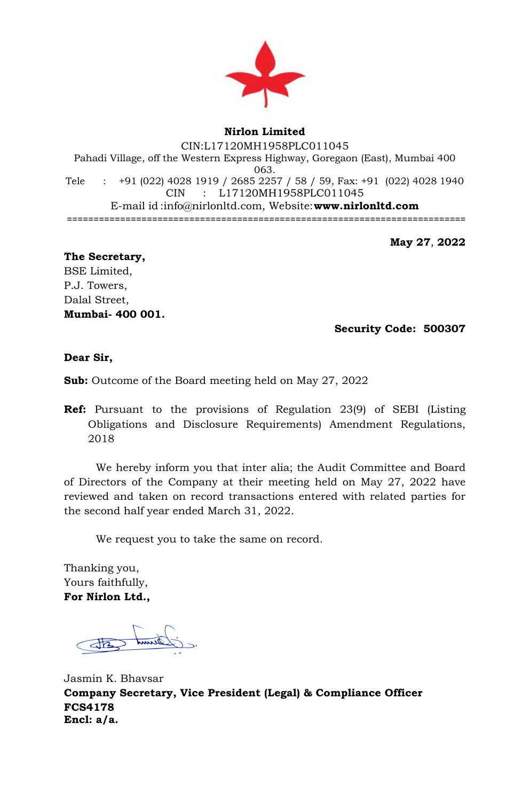

## **Nirlon Limited**

CIN:L17120MH1958PLC011045 Pahadi Village, off the Western Express Highway, Goregaon (East), Mumbai 400 063. Tele : +91 (022) 4028 1919 / 2685 2257 / 58 / 59, Fax: +91 (022) 4028 1940 CIN : L17120MH1958PLC011045 E-mail id [:info@nirlonltd.com,](mailto:info@nirlonltd.com) Website:**[www.nirlonltd.com](http://www.nirlonltd.com/)** ===========================================================================

**May 27**, **2022**

**The Secretary,** BSE Limited, P.J. Towers, Dalal Street, **Mumbai- 400 001.** 

 **Security Code: 500307**

**Dear Sir,**

**Sub:** Outcome of the Board meeting held on May 27, 2022

**Ref:** Pursuant to the provisions of Regulation 23(9) of SEBI (Listing Obligations and Disclosure Requirements) Amendment Regulations, 2018

We hereby inform you that inter alia; the Audit Committee and Board of Directors of the Company at their meeting held on May 27, 2022 have reviewed and taken on record transactions entered with related parties for the second half year ended March 31, 2022.

We request you to take the same on record.

Thanking you, Yours faithfully, **For Nirlon Ltd.,**

Jasmin K. Bhavsar **Company Secretary, Vice President (Legal) & Compliance Officer FCS4178 Encl: a/a.**